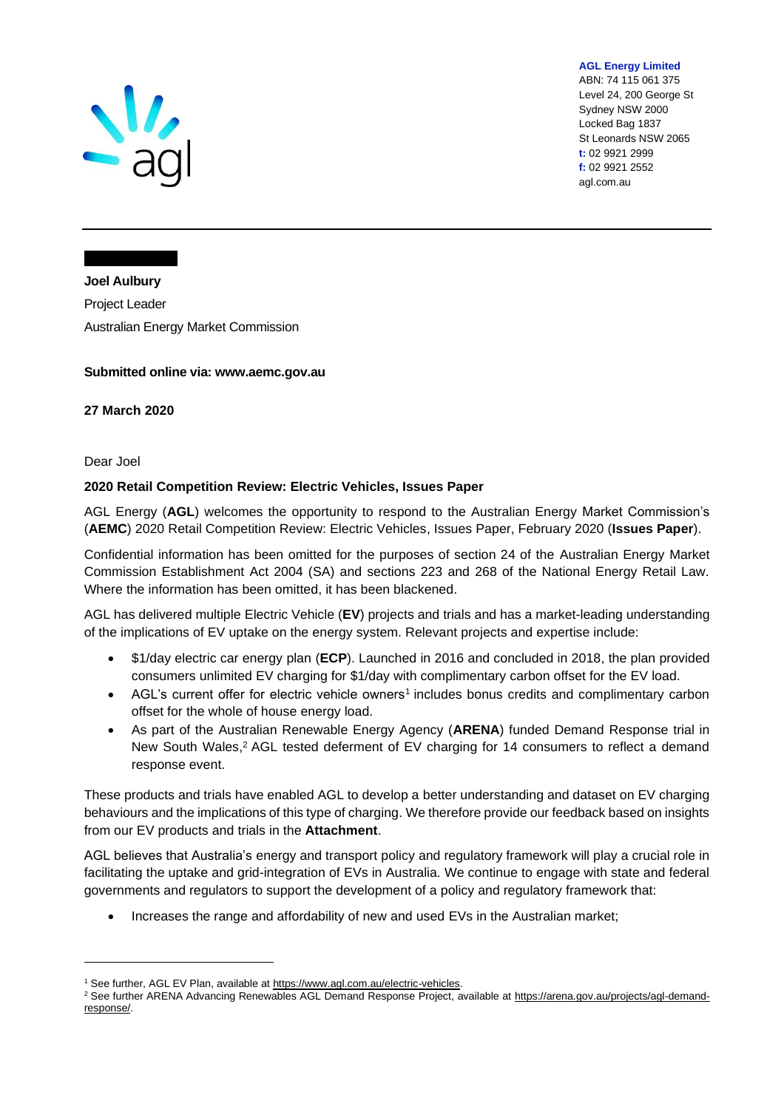

**AGL Energy Limited**

ABN: 74 115 061 375 Level 24, 200 George St Sydney NSW 2000 Locked Bag 1837 St Leonards NSW 2065 **t:** 02 9921 2999 **f:** 02 9921 2552 agl.com.au

**Joel Aulbury** Project Leader Australian Energy Market Commission

### **Submitted online via: www.aemc.gov.au**

**27 March 2020**

Dear Joel

### **2020 Retail Competition Review: Electric Vehicles, Issues Paper**

AGL Energy (**AGL**) welcomes the opportunity to respond to the Australian Energy Market Commission's (**AEMC**) 2020 Retail Competition Review: Electric Vehicles, Issues Paper, February 2020 (**Issues Paper**).

Confidential information has been omitted for the purposes of section 24 of the Australian Energy Market Commission Establishment Act 2004 (SA) and sections 223 and 268 of the National Energy Retail Law. Where the information has been omitted, it has been blackened.

AGL has delivered multiple Electric Vehicle (**EV**) projects and trials and has a market-leading understanding of the implications of EV uptake on the energy system. Relevant projects and expertise include:

- \$1/day electric car energy plan (**ECP**). Launched in 2016 and concluded in 2018, the plan provided consumers unlimited EV charging for \$1/day with complimentary carbon offset for the EV load.
- AGL's current offer for electric vehicle owners<sup>1</sup> includes bonus credits and complimentary carbon offset for the whole of house energy load.
- As part of the Australian Renewable Energy Agency (**ARENA**) funded Demand Response trial in New South Wales,<sup>2</sup> AGL tested deferment of EV charging for 14 consumers to reflect a demand response event.

These products and trials have enabled AGL to develop a better understanding and dataset on EV charging behaviours and the implications of this type of charging. We therefore provide our feedback based on insights from our EV products and trials in the **Attachment**.

AGL believes that Australia's energy and transport policy and regulatory framework will play a crucial role in facilitating the uptake and grid-integration of EVs in Australia. We continue to engage with state and federal governments and regulators to support the development of a policy and regulatory framework that:

• Increases the range and affordability of new and used EVs in the Australian market;

<sup>&</sup>lt;sup>1</sup> See further, AGL EV Plan, available at [https://www.agl.com.au/electric-vehicles.](https://www.agl.com.au/electric-vehicles)

<sup>&</sup>lt;sup>2</sup> See further ARENA Advancing Renewables AGL Demand Response Project, available at [https://arena.gov.au/projects/agl-demand](https://arena.gov.au/projects/agl-demand-response/)[response/.](https://arena.gov.au/projects/agl-demand-response/)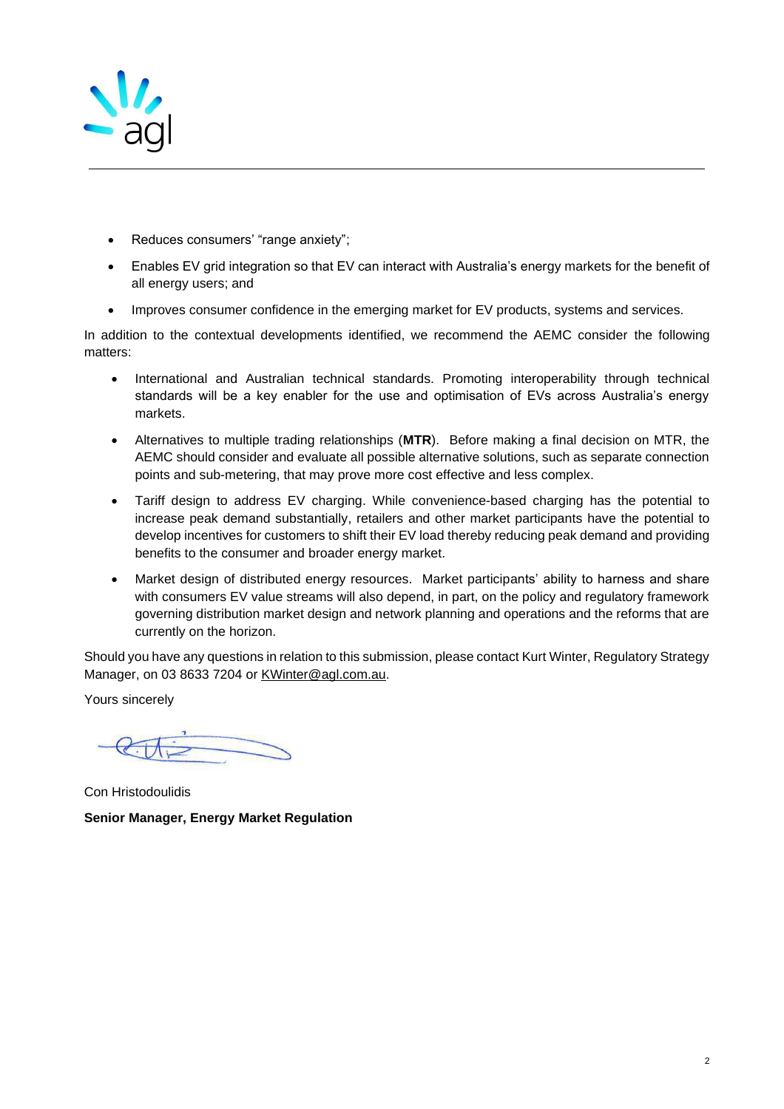

- Reduces consumers' "range anxiety";
- Enables EV grid integration so that EV can interact with Australia's energy markets for the benefit of all energy users; and
- Improves consumer confidence in the emerging market for EV products, systems and services.

In addition to the contextual developments identified, we recommend the AEMC consider the following matters:

- International and Australian technical standards. Promoting interoperability through technical standards will be a key enabler for the use and optimisation of EVs across Australia's energy markets.
- Alternatives to multiple trading relationships (**MTR**). Before making a final decision on MTR, the AEMC should consider and evaluate all possible alternative solutions, such as separate connection points and sub-metering, that may prove more cost effective and less complex.
- Tariff design to address EV charging. While convenience-based charging has the potential to increase peak demand substantially, retailers and other market participants have the potential to develop incentives for customers to shift their EV load thereby reducing peak demand and providing benefits to the consumer and broader energy market.
- Market design of distributed energy resources. Market participants' ability to harness and share with consumers EV value streams will also depend, in part, on the policy and regulatory framework governing distribution market design and network planning and operations and the reforms that are currently on the horizon.

Should you have any questions in relation to this submission, please contact Kurt Winter, Regulatory Strategy Manager, on 03 8633 7204 or [KWinter@agl.com.au.](mailto:KWinter@agl.com.au)

Yours sincerely

Con Hristodoulidis **Senior Manager, Energy Market Regulation**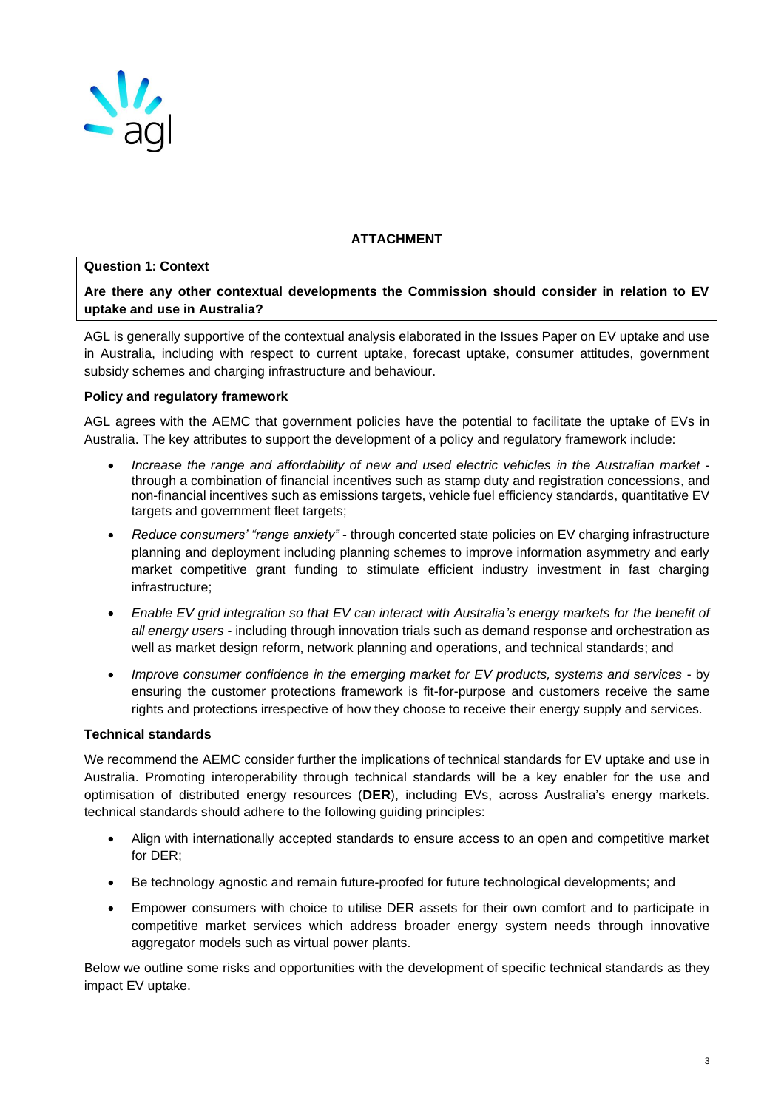

# **ATTACHMENT**

### **Question 1: Context**

**Are there any other contextual developments the Commission should consider in relation to EV uptake and use in Australia?** 

AGL is generally supportive of the contextual analysis elaborated in the Issues Paper on EV uptake and use in Australia, including with respect to current uptake, forecast uptake, consumer attitudes, government subsidy schemes and charging infrastructure and behaviour.

### **Policy and regulatory framework**

AGL agrees with the AEMC that government policies have the potential to facilitate the uptake of EVs in Australia. The key attributes to support the development of a policy and regulatory framework include:

- *Increase the range and affordability of new and used electric vehicles in the Australian market* through a combination of financial incentives such as stamp duty and registration concessions, and non-financial incentives such as emissions targets, vehicle fuel efficiency standards, quantitative EV targets and government fleet targets;
- *Reduce consumers' "range anxiety"* through concerted state policies on EV charging infrastructure planning and deployment including planning schemes to improve information asymmetry and early market competitive grant funding to stimulate efficient industry investment in fast charging infrastructure;
- *Enable EV grid integration so that EV can interact with Australia's energy markets for the benefit of all energy users* - including through innovation trials such as demand response and orchestration as well as market design reform, network planning and operations, and technical standards; and
- *Improve consumer confidence in the emerging market for EV products, systems and services* by ensuring the customer protections framework is fit-for-purpose and customers receive the same rights and protections irrespective of how they choose to receive their energy supply and services.

### **Technical standards**

We recommend the AEMC consider further the implications of technical standards for EV uptake and use in Australia. Promoting interoperability through technical standards will be a key enabler for the use and optimisation of distributed energy resources (**DER**), including EVs, across Australia's energy markets. technical standards should adhere to the following guiding principles:

- Align with internationally accepted standards to ensure access to an open and competitive market for DER;
- Be technology agnostic and remain future-proofed for future technological developments; and
- Empower consumers with choice to utilise DER assets for their own comfort and to participate in competitive market services which address broader energy system needs through innovative aggregator models such as virtual power plants.

Below we outline some risks and opportunities with the development of specific technical standards as they impact EV uptake.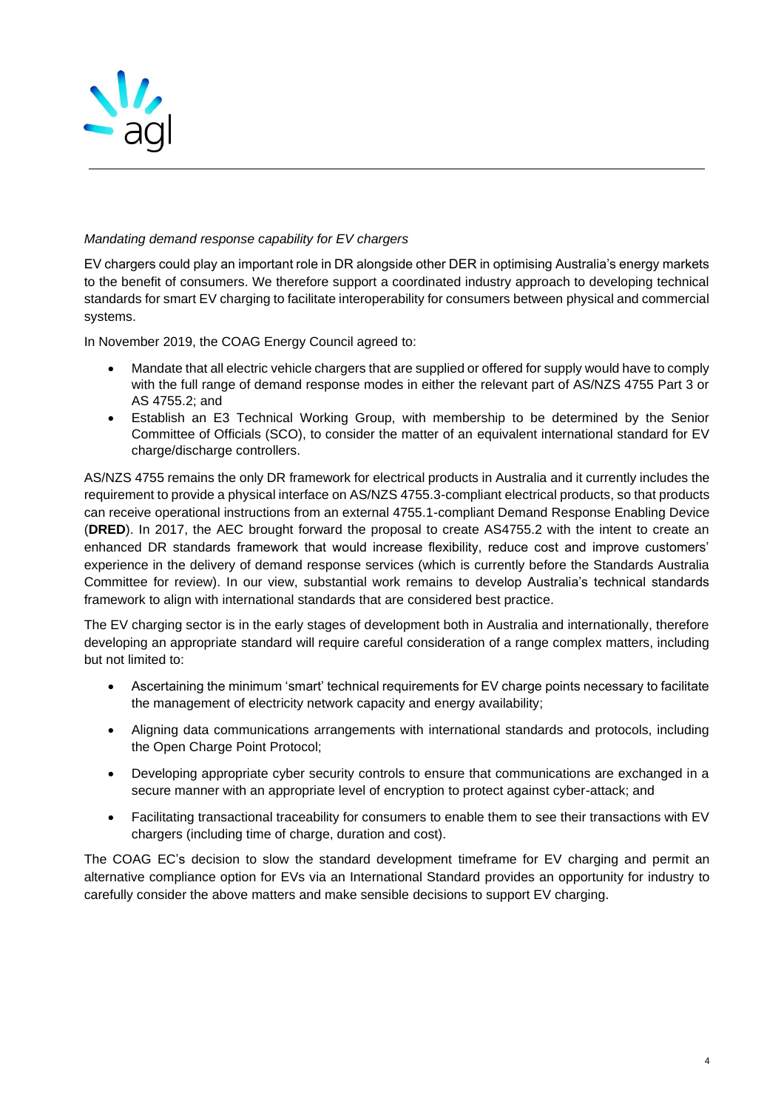

# *Mandating demand response capability for EV chargers*

EV chargers could play an important role in DR alongside other DER in optimising Australia's energy markets to the benefit of consumers. We therefore support a coordinated industry approach to developing technical standards for smart EV charging to facilitate interoperability for consumers between physical and commercial systems.

In November 2019, the COAG Energy Council agreed to:

- Mandate that all electric vehicle chargers that are supplied or offered for supply would have to comply with the full range of demand response modes in either the relevant part of AS/NZS 4755 Part 3 or AS 4755.2; and
- Establish an E3 Technical Working Group, with membership to be determined by the Senior Committee of Officials (SCO), to consider the matter of an equivalent international standard for EV charge/discharge controllers.

AS/NZS 4755 remains the only DR framework for electrical products in Australia and it currently includes the requirement to provide a physical interface on AS/NZS 4755.3-compliant electrical products, so that products can receive operational instructions from an external 4755.1-compliant Demand Response Enabling Device (**DRED**). In 2017, the AEC brought forward the proposal to create AS4755.2 with the intent to create an enhanced DR standards framework that would increase flexibility, reduce cost and improve customers' experience in the delivery of demand response services (which is currently before the Standards Australia Committee for review). In our view, substantial work remains to develop Australia's technical standards framework to align with international standards that are considered best practice.

The EV charging sector is in the early stages of development both in Australia and internationally, therefore developing an appropriate standard will require careful consideration of a range complex matters, including but not limited to:

- Ascertaining the minimum 'smart' technical requirements for EV charge points necessary to facilitate the management of electricity network capacity and energy availability;
- Aligning data communications arrangements with international standards and protocols, including the Open Charge Point Protocol;
- Developing appropriate cyber security controls to ensure that communications are exchanged in a secure manner with an appropriate level of encryption to protect against cyber-attack; and
- Facilitating transactional traceability for consumers to enable them to see their transactions with EV chargers (including time of charge, duration and cost).

The COAG EC's decision to slow the standard development timeframe for EV charging and permit an alternative compliance option for EVs via an International Standard provides an opportunity for industry to carefully consider the above matters and make sensible decisions to support EV charging.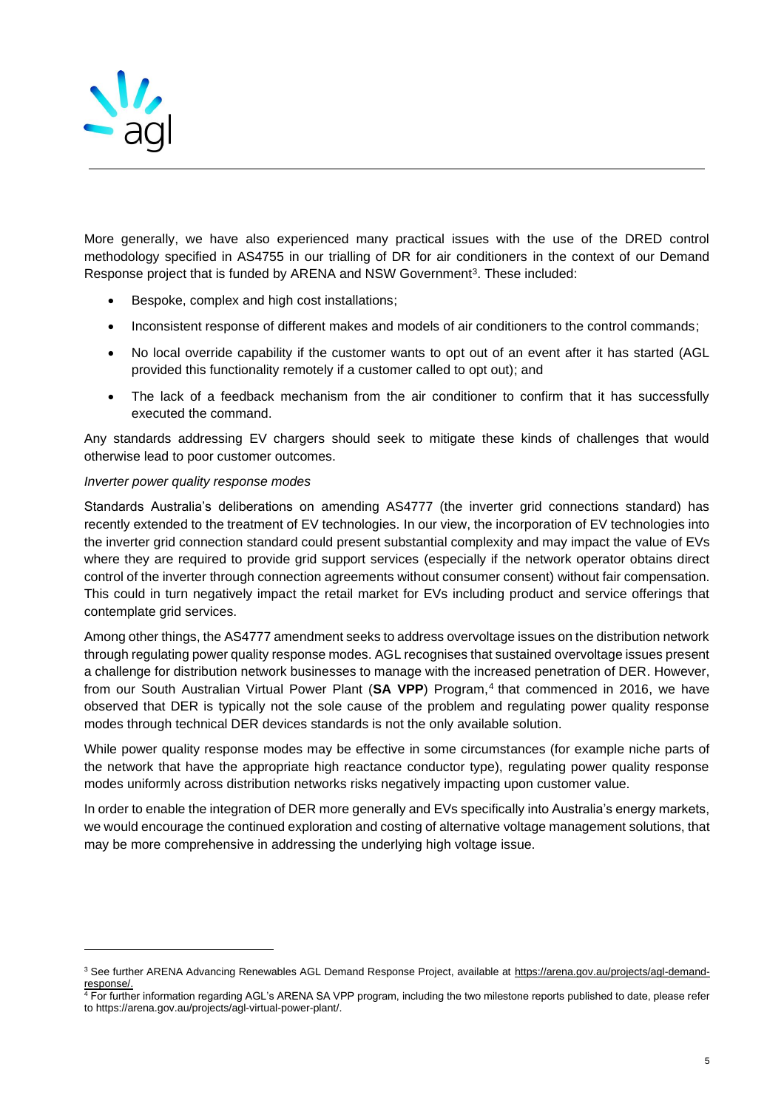

More generally, we have also experienced many practical issues with the use of the DRED control methodology specified in AS4755 in our trialling of DR for air conditioners in the context of our Demand Response project that is funded by ARENA and NSW Government<sup>3</sup>. These included:

- Bespoke, complex and high cost installations;
- Inconsistent response of different makes and models of air conditioners to the control commands;
- No local override capability if the customer wants to opt out of an event after it has started (AGL provided this functionality remotely if a customer called to opt out); and
- The lack of a feedback mechanism from the air conditioner to confirm that it has successfully executed the command.

Any standards addressing EV chargers should seek to mitigate these kinds of challenges that would otherwise lead to poor customer outcomes.

#### *Inverter power quality response modes*

Standards Australia's deliberations on amending AS4777 (the inverter grid connections standard) has recently extended to the treatment of EV technologies. In our view, the incorporation of EV technologies into the inverter grid connection standard could present substantial complexity and may impact the value of EVs where they are required to provide grid support services (especially if the network operator obtains direct control of the inverter through connection agreements without consumer consent) without fair compensation. This could in turn negatively impact the retail market for EVs including product and service offerings that contemplate grid services.

Among other things, the AS4777 amendment seeks to address overvoltage issues on the distribution network through regulating power quality response modes. AGL recognises that sustained overvoltage issues present a challenge for distribution network businesses to manage with the increased penetration of DER. However, from our South Australian Virtual Power Plant (SA VPP) Program,<sup>4</sup> that commenced in 2016, we have observed that DER is typically not the sole cause of the problem and regulating power quality response modes through technical DER devices standards is not the only available solution.

While power quality response modes may be effective in some circumstances (for example niche parts of the network that have the appropriate high reactance conductor type), regulating power quality response modes uniformly across distribution networks risks negatively impacting upon customer value.

In order to enable the integration of DER more generally and EVs specifically into Australia's energy markets, we would encourage the continued exploration and costing of alternative voltage management solutions, that may be more comprehensive in addressing the underlying high voltage issue.

<sup>&</sup>lt;sup>3</sup> See further ARENA Advancing Renewables AGL Demand Response Project, available at [https://arena.gov.au/projects/agl-demand](https://arena.gov.au/projects/agl-demand-response/)[response/.](https://arena.gov.au/projects/agl-demand-response/)

<sup>4</sup> For further information regarding AGL's ARENA SA VPP program, including the two milestone reports published to date, please refer to https://arena.gov.au/projects/agl-virtual-power-plant/.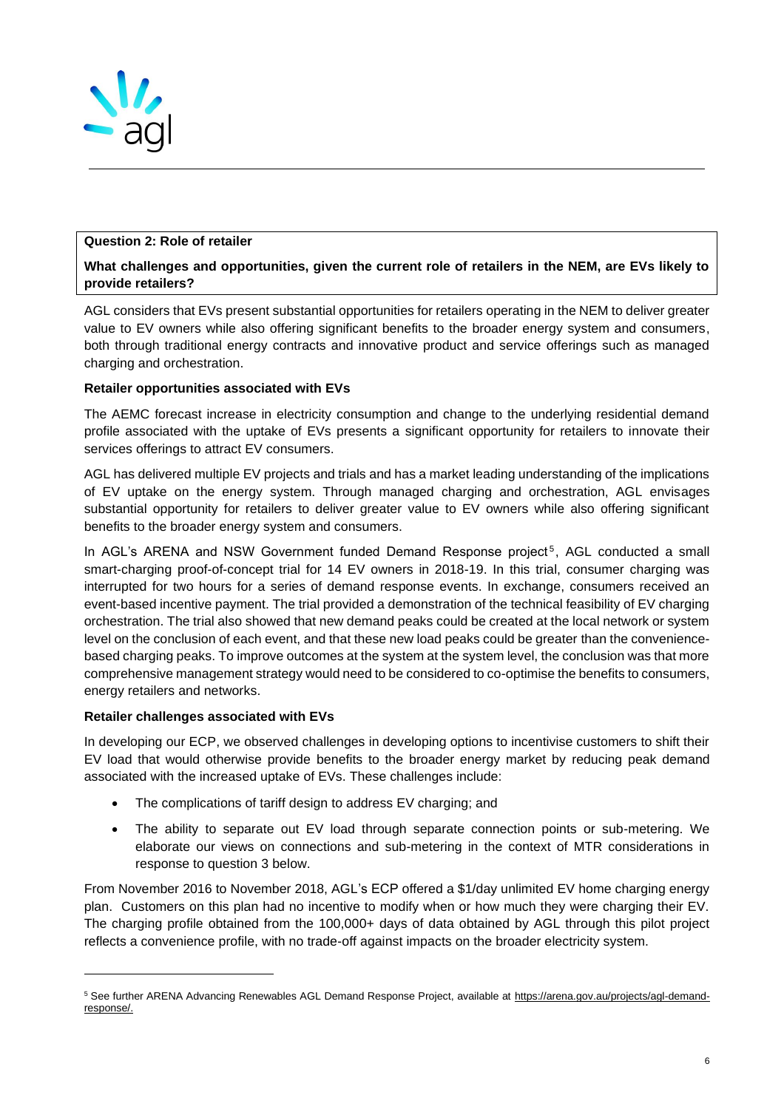

### **Question 2: Role of retailer**

# **What challenges and opportunities, given the current role of retailers in the NEM, are EVs likely to provide retailers?**

AGL considers that EVs present substantial opportunities for retailers operating in the NEM to deliver greater value to EV owners while also offering significant benefits to the broader energy system and consumers, both through traditional energy contracts and innovative product and service offerings such as managed charging and orchestration.

# **Retailer opportunities associated with EVs**

The AEMC forecast increase in electricity consumption and change to the underlying residential demand profile associated with the uptake of EVs presents a significant opportunity for retailers to innovate their services offerings to attract EV consumers.

AGL has delivered multiple EV projects and trials and has a market leading understanding of the implications of EV uptake on the energy system. Through managed charging and orchestration, AGL envisages substantial opportunity for retailers to deliver greater value to EV owners while also offering significant benefits to the broader energy system and consumers.

In AGL's ARENA and NSW Government funded Demand Response project<sup>5</sup>, AGL conducted a small smart-charging proof-of-concept trial for 14 EV owners in 2018-19. In this trial, consumer charging was interrupted for two hours for a series of demand response events. In exchange, consumers received an event-based incentive payment. The trial provided a demonstration of the technical feasibility of EV charging orchestration. The trial also showed that new demand peaks could be created at the local network or system level on the conclusion of each event, and that these new load peaks could be greater than the conveniencebased charging peaks. To improve outcomes at the system at the system level, the conclusion was that more comprehensive management strategy would need to be considered to co-optimise the benefits to consumers, energy retailers and networks.

### **Retailer challenges associated with EVs**

In developing our ECP, we observed challenges in developing options to incentivise customers to shift their EV load that would otherwise provide benefits to the broader energy market by reducing peak demand associated with the increased uptake of EVs. These challenges include:

- The complications of tariff design to address EV charging; and
- The ability to separate out EV load through separate connection points or sub-metering. We elaborate our views on connections and sub-metering in the context of MTR considerations in response to question 3 below.

From November 2016 to November 2018, AGL's ECP offered a \$1/day unlimited EV home charging energy plan. Customers on this plan had no incentive to modify when or how much they were charging their EV. The charging profile obtained from the 100,000+ days of data obtained by AGL through this pilot project reflects a convenience profile, with no trade-off against impacts on the broader electricity system.

<sup>&</sup>lt;sup>5</sup> See further ARENA Advancing Renewables AGL Demand Response Project, available at [https://arena.gov.au/projects/agl-demand](https://arena.gov.au/projects/agl-demand-response/)[response/.](https://arena.gov.au/projects/agl-demand-response/)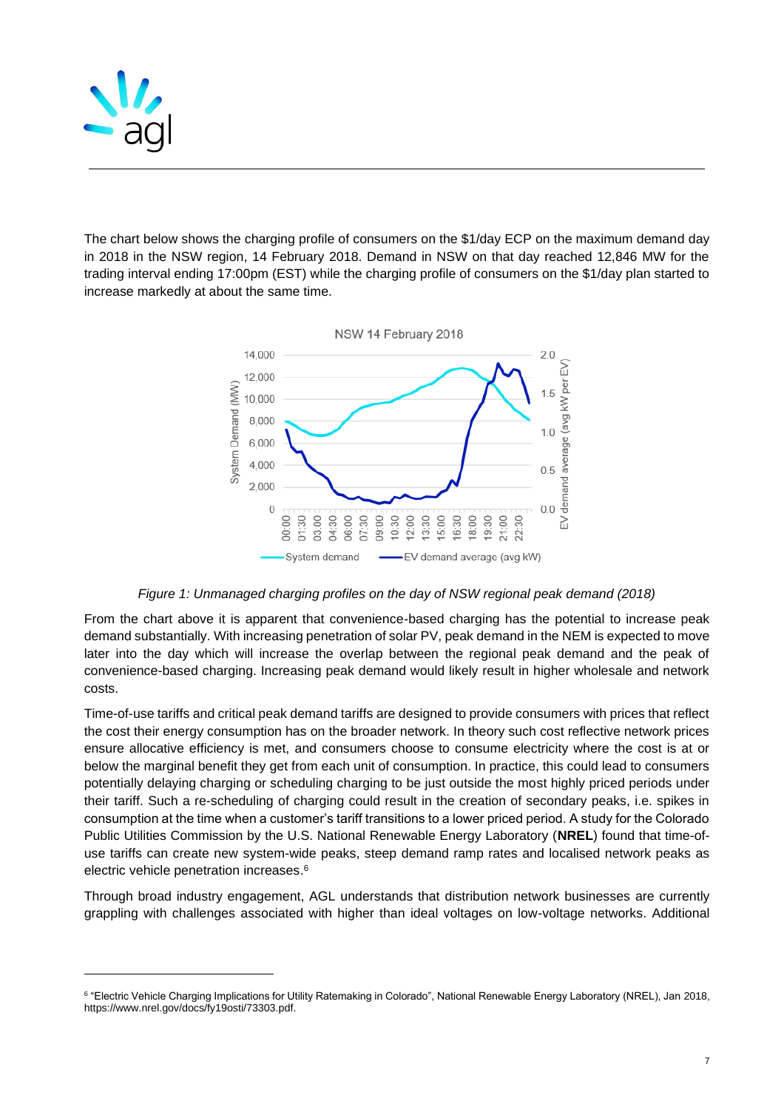

The chart below shows the charging profile of consumers on the \$1/day ECP on the maximum demand day in 2018 in the NSW region, 14 February 2018. Demand in NSW on that day reached 12,846 MW for the trading interval ending 17:00pm (EST) while the charging profile of consumers on the \$1/day plan started to increase markedly at about the same time.



*Figure 1: Unmanaged charging profiles on the day of NSW regional peak demand (2018)*

From the chart above it is apparent that convenience-based charging has the potential to increase peak demand substantially. With increasing penetration of solar PV, peak demand in the NEM is expected to move later into the day which will increase the overlap between the regional peak demand and the peak of convenience-based charging. Increasing peak demand would likely result in higher wholesale and network costs.

Time-of-use tariffs and critical peak demand tariffs are designed to provide consumers with prices that reflect the cost their energy consumption has on the broader network. In theory such cost reflective network prices ensure allocative efficiency is met, and consumers choose to consume electricity where the cost is at or below the marginal benefit they get from each unit of consumption. In practice, this could lead to consumers potentially delaying charging or scheduling charging to be just outside the most highly priced periods under their tariff. Such a re-scheduling of charging could result in the creation of secondary peaks, i.e. spikes in consumption at the time when a customer's tariff transitions to a lower priced period. A study for the Colorado Public Utilities Commission by the U.S. National Renewable Energy Laboratory (**NREL**) found that time-ofuse tariffs can create new system-wide peaks, steep demand ramp rates and localised network peaks as electric vehicle penetration increases. 6

Through broad industry engagement, AGL understands that distribution network businesses are currently grappling with challenges associated with higher than ideal voltages on low-voltage networks. Additional

 $^6$  "Electric Vehicle Charging Implications for Utility Ratemaking in Colorado", National Renewable Energy Laboratory (NREL), Jan 2018, https://www.nrel.gov/docs/fy19osti/73303.pdf.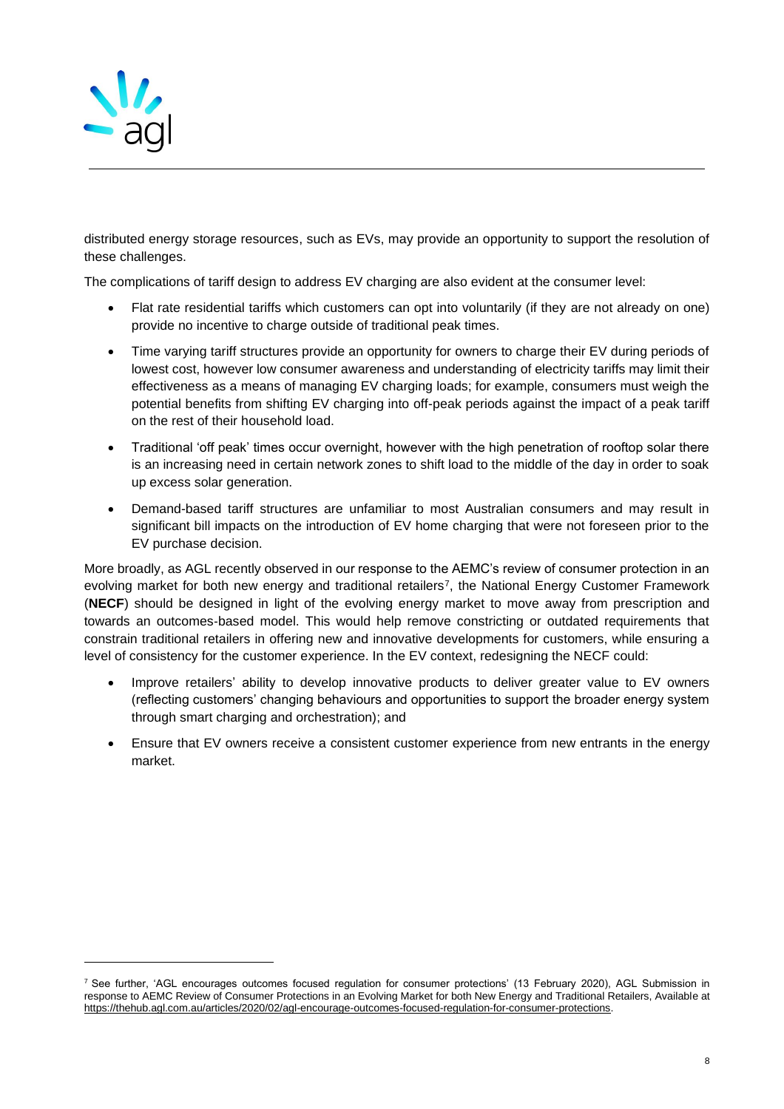

distributed energy storage resources, such as EVs, may provide an opportunity to support the resolution of these challenges.

The complications of tariff design to address EV charging are also evident at the consumer level:

- Flat rate residential tariffs which customers can opt into voluntarily (if they are not already on one) provide no incentive to charge outside of traditional peak times.
- Time varying tariff structures provide an opportunity for owners to charge their EV during periods of lowest cost, however low consumer awareness and understanding of electricity tariffs may limit their effectiveness as a means of managing EV charging loads; for example, consumers must weigh the potential benefits from shifting EV charging into off-peak periods against the impact of a peak tariff on the rest of their household load.
- Traditional 'off peak' times occur overnight, however with the high penetration of rooftop solar there is an increasing need in certain network zones to shift load to the middle of the day in order to soak up excess solar generation.
- Demand-based tariff structures are unfamiliar to most Australian consumers and may result in significant bill impacts on the introduction of EV home charging that were not foreseen prior to the EV purchase decision.

More broadly, as AGL recently observed in our response to the AEMC's review of consumer protection in an evolving market for both new energy and traditional retailers<sup>7</sup> , the National Energy Customer Framework (**NECF**) should be designed in light of the evolving energy market to move away from prescription and towards an outcomes‐based model. This would help remove constricting or outdated requirements that constrain traditional retailers in offering new and innovative developments for customers, while ensuring a level of consistency for the customer experience. In the EV context, redesigning the NECF could:

- Improve retailers' ability to develop innovative products to deliver greater value to EV owners (reflecting customers' changing behaviours and opportunities to support the broader energy system through smart charging and orchestration); and
- Ensure that EV owners receive a consistent customer experience from new entrants in the energy market.

<sup>&</sup>lt;sup>7</sup> See further, 'AGL encourages outcomes focused regulation for consumer protections' (13 February 2020), AGL Submission in response to AEMC Review of Consumer Protections in an Evolving Market for both New Energy and Traditional Retailers, Available at [https://thehub.agl.com.au/articles/2020/02/agl-encourage-outcomes-focused-regulation-for-consumer-protections.](https://thehub.agl.com.au/articles/2020/02/agl-encourage-outcomes-focused-regulation-for-consumer-protections)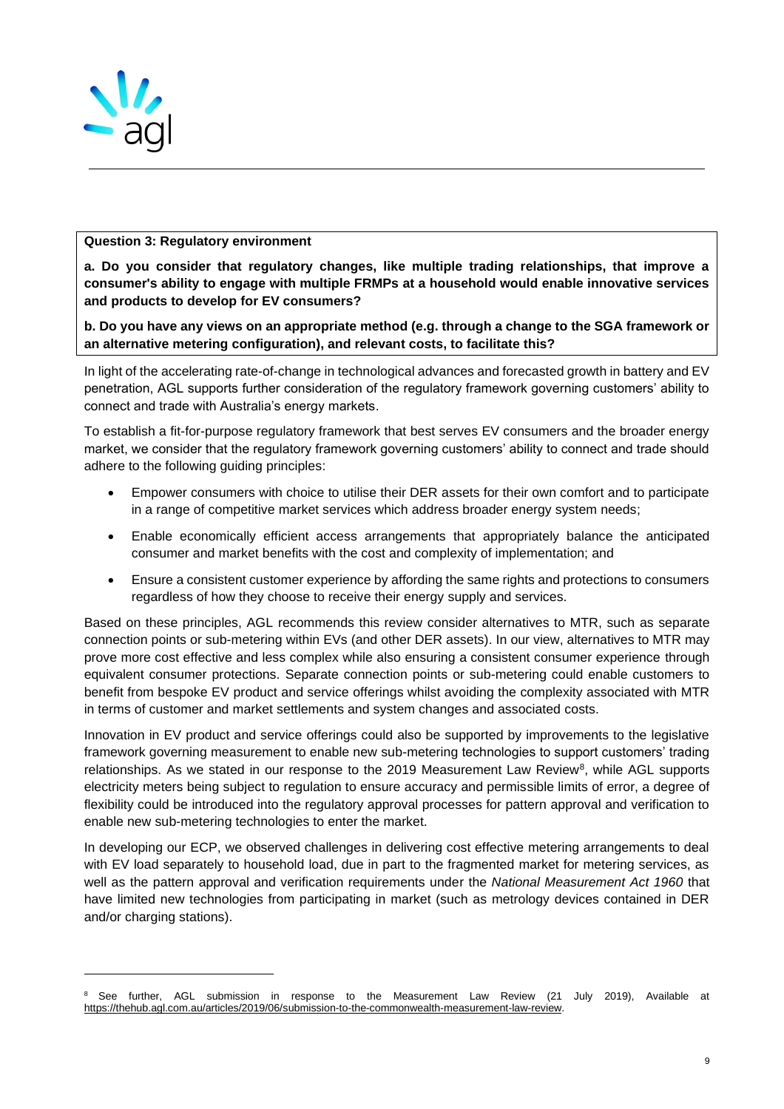

### **Question 3: Regulatory environment**

**a. Do you consider that regulatory changes, like multiple trading relationships, that improve a consumer's ability to engage with multiple FRMPs at a household would enable innovative services and products to develop for EV consumers?** 

**b. Do you have any views on an appropriate method (e.g. through a change to the SGA framework or an alternative metering configuration), and relevant costs, to facilitate this?** 

In light of the accelerating rate-of-change in technological advances and forecasted growth in battery and EV penetration, AGL supports further consideration of the regulatory framework governing customers' ability to connect and trade with Australia's energy markets.

To establish a fit-for-purpose regulatory framework that best serves EV consumers and the broader energy market, we consider that the regulatory framework governing customers' ability to connect and trade should adhere to the following guiding principles:

- Empower consumers with choice to utilise their DER assets for their own comfort and to participate in a range of competitive market services which address broader energy system needs;
- Enable economically efficient access arrangements that appropriately balance the anticipated consumer and market benefits with the cost and complexity of implementation; and
- Ensure a consistent customer experience by affording the same rights and protections to consumers regardless of how they choose to receive their energy supply and services.

Based on these principles, AGL recommends this review consider alternatives to MTR, such as separate connection points or sub-metering within EVs (and other DER assets). In our view, alternatives to MTR may prove more cost effective and less complex while also ensuring a consistent consumer experience through equivalent consumer protections. Separate connection points or sub-metering could enable customers to benefit from bespoke EV product and service offerings whilst avoiding the complexity associated with MTR in terms of customer and market settlements and system changes and associated costs.

Innovation in EV product and service offerings could also be supported by improvements to the legislative framework governing measurement to enable new sub-metering technologies to support customers' trading relationships. As we stated in our response to the 2019 Measurement Law Review<sup>8</sup>, while AGL supports electricity meters being subject to regulation to ensure accuracy and permissible limits of error, a degree of flexibility could be introduced into the regulatory approval processes for pattern approval and verification to enable new sub-metering technologies to enter the market.

In developing our ECP, we observed challenges in delivering cost effective metering arrangements to deal with EV load separately to household load, due in part to the fragmented market for metering services, as well as the pattern approval and verification requirements under the *National Measurement Act 1960* that have limited new technologies from participating in market (such as metrology devices contained in DER and/or charging stations).

<sup>&</sup>lt;sup>8</sup> See further, AGL submission in response to the Measurement Law Review (21 July 2019), Available at [https://thehub.agl.com.au/articles/2019/06/submission-to-the-commonwealth-measurement-law-review.](https://thehub.agl.com.au/articles/2019/06/submission-to-the-commonwealth-measurement-law-review)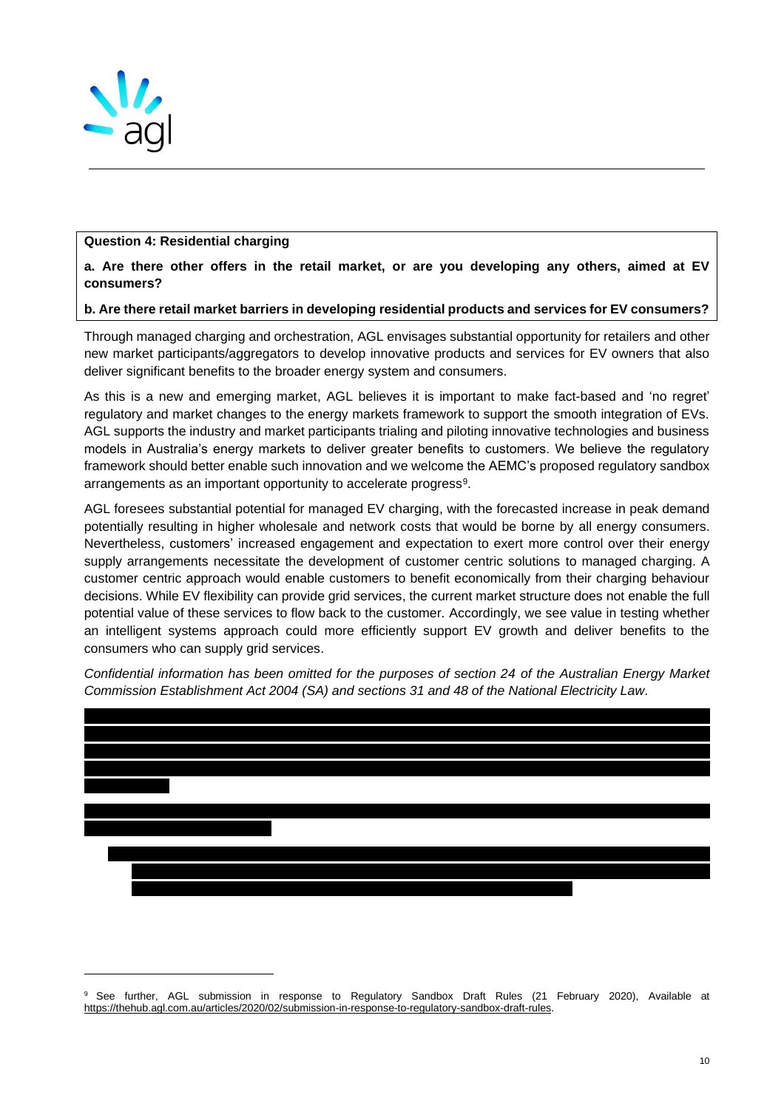

### **Question 4: Residential charging**

**a. Are there other offers in the retail market, or are you developing any others, aimed at EV consumers?** 

### **b. Are there retail market barriers in developing residential products and services for EV consumers?**

Through managed charging and orchestration, AGL envisages substantial opportunity for retailers and other new market participants/aggregators to develop innovative products and services for EV owners that also deliver significant benefits to the broader energy system and consumers.

As this is a new and emerging market, AGL believes it is important to make fact-based and 'no regret' regulatory and market changes to the energy markets framework to support the smooth integration of EVs. AGL supports the industry and market participants trialing and piloting innovative technologies and business models in Australia's energy markets to deliver greater benefits to customers. We believe the regulatory framework should better enable such innovation and we welcome the AEMC's proposed regulatory sandbox arrangements as an important opportunity to accelerate progress<sup>9</sup>.

AGL foresees substantial potential for managed EV charging, with the forecasted increase in peak demand potentially resulting in higher wholesale and network costs that would be borne by all energy consumers. Nevertheless, customers' increased engagement and expectation to exert more control over their energy supply arrangements necessitate the development of customer centric solutions to managed charging. A customer centric approach would enable customers to benefit economically from their charging behaviour decisions. While EV flexibility can provide grid services, the current market structure does not enable the full potential value of these services to flow back to the customer. Accordingly, we see value in testing whether an intelligent systems approach could more efficiently support EV growth and deliver benefits to the consumers who can supply grid services.

*Confidential information has been omitted for the purposes of section 24 of the Australian Energy Market Commission Establishment Act 2004 (SA) and sections 31 and 48 of the National Electricity Law.*



<sup>&</sup>lt;sup>9</sup> See further, AGL submission in response to Regulatory Sandbox Draft Rules (21 February 2020), Available at [https://thehub.agl.com.au/articles/2020/02/submission-in-response-to-regulatory-sandbox-draft-rules.](https://thehub.agl.com.au/articles/2020/02/submission-in-response-to-regulatory-sandbox-draft-rules)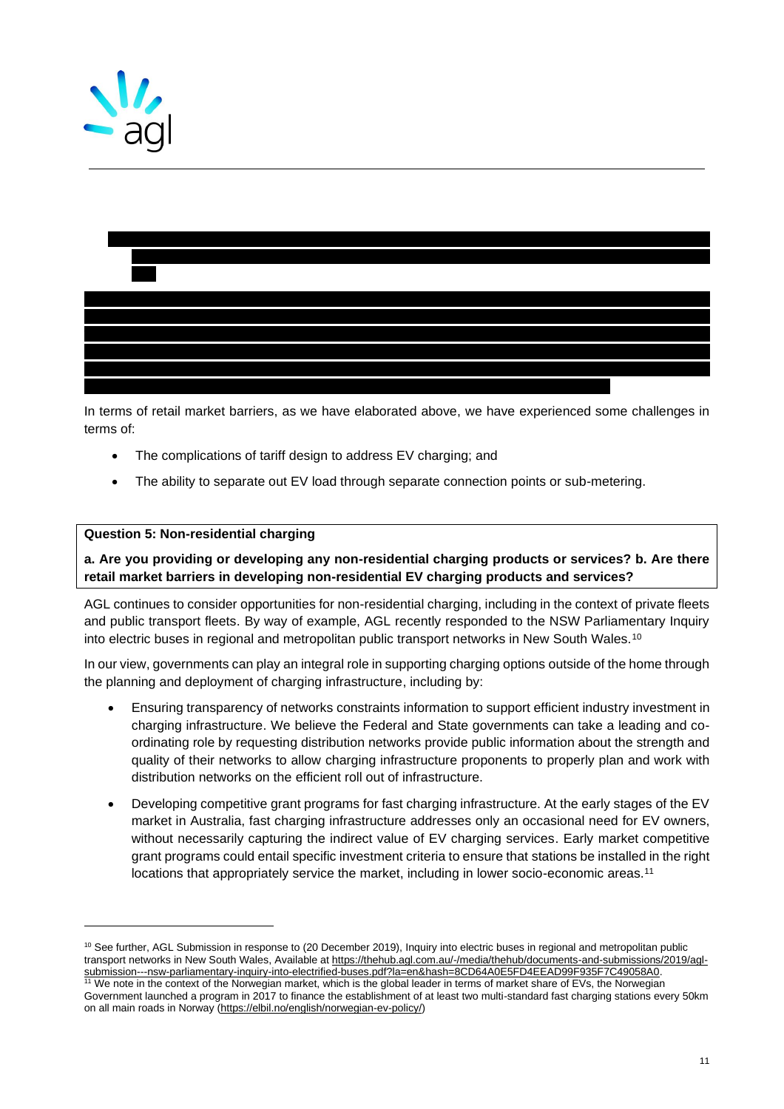



In terms of retail market barriers, as we have elaborated above, we have experienced some challenges in terms of:

- The complications of tariff design to address EV charging; and
- The ability to separate out EV load through separate connection points or sub-metering.

#### **Question 5: Non-residential charging**

**a. Are you providing or developing any non-residential charging products or services? b. Are there retail market barriers in developing non-residential EV charging products and services?** 

AGL continues to consider opportunities for non-residential charging, including in the context of private fleets and public transport fleets. By way of example, AGL recently responded to the NSW Parliamentary Inquiry into electric buses in regional and metropolitan public transport networks in New South Wales.<sup>10</sup>

In our view, governments can play an integral role in supporting charging options outside of the home through the planning and deployment of charging infrastructure, including by:

- Ensuring transparency of networks constraints information to support efficient industry investment in charging infrastructure. We believe the Federal and State governments can take a leading and coordinating role by requesting distribution networks provide public information about the strength and quality of their networks to allow charging infrastructure proponents to properly plan and work with distribution networks on the efficient roll out of infrastructure.
- Developing competitive grant programs for fast charging infrastructure. At the early stages of the EV market in Australia, fast charging infrastructure addresses only an occasional need for EV owners, without necessarily capturing the indirect value of EV charging services. Early market competitive grant programs could entail specific investment criteria to ensure that stations be installed in the right locations that appropriately service the market, including in lower socio-economic areas.<sup>11</sup>

We note in the context of the Norwegian market, which is the global leader in terms of market share of EVs, the Norwegian

<sup>&</sup>lt;sup>10</sup> See further, AGL Submission in response to (20 December 2019), Inquiry into electric buses in regional and metropolitan public transport networks in New South Wales, Available at [https://thehub.agl.com.au/-/media/thehub/documents-and-submissions/2019/agl](https://thehub.agl.com.au/-/media/thehub/documents-and-submissions/2019/agl-submission---nsw-parliamentary-inquiry-into-electrified-buses.pdf?la=en&hash=8CD64A0E5FD4EEAD99F935F7C49058A0)[submission---nsw-parliamentary-inquiry-into-electrified-buses.pdf?la=en&hash=8CD64A0E5FD4EEAD99F935F7C49058A0.](https://thehub.agl.com.au/-/media/thehub/documents-and-submissions/2019/agl-submission---nsw-parliamentary-inquiry-into-electrified-buses.pdf?la=en&hash=8CD64A0E5FD4EEAD99F935F7C49058A0)

Government launched a program in 2017 to finance the establishment of at least two multi-standard fast charging stations every 50km on all main roads in Norway [\(https://elbil.no/english/norwegian-ev-policy/\)](https://elbil.no/english/norwegian-ev-policy/)